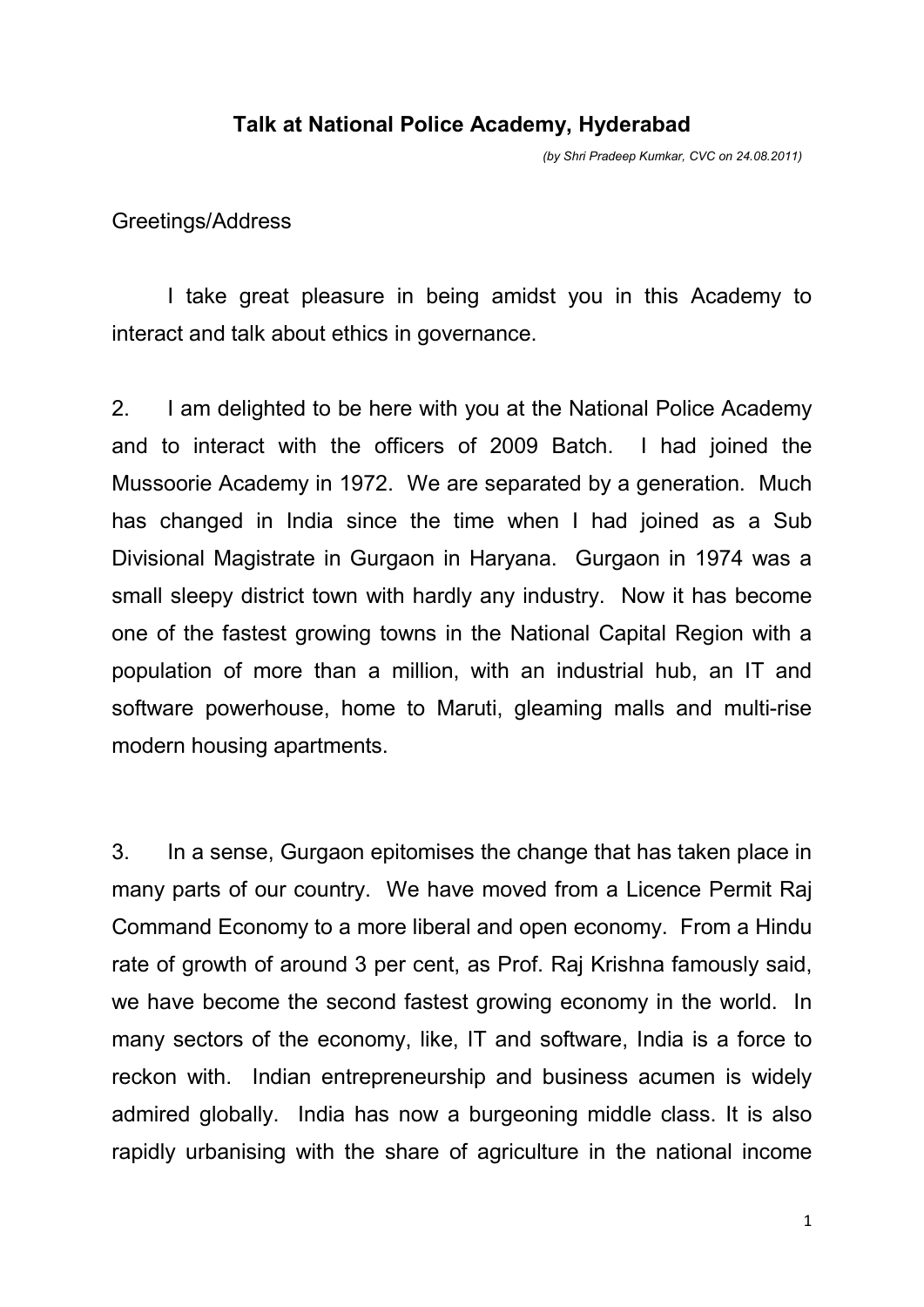## **Talk at National Police Academy, Hyderabad**

*(by Shri Pradeep Kumkar, CVC on 24.08.2011)* 

## Greetings/Address

 I take great pleasure in being amidst you in this Academy to interact and talk about ethics in governance.

2. I am delighted to be here with you at the National Police Academy and to interact with the officers of 2009 Batch. I had joined the Mussoorie Academy in 1972. We are separated by a generation. Much has changed in India since the time when I had joined as a Sub Divisional Magistrate in Gurgaon in Haryana. Gurgaon in 1974 was a small sleepy district town with hardly any industry. Now it has become one of the fastest growing towns in the National Capital Region with a population of more than a million, with an industrial hub, an IT and software powerhouse, home to Maruti, gleaming malls and multi-rise modern housing apartments.

3. In a sense, Gurgaon epitomises the change that has taken place in many parts of our country. We have moved from a Licence Permit Raj Command Economy to a more liberal and open economy. From a Hindu rate of growth of around 3 per cent, as Prof. Raj Krishna famously said, we have become the second fastest growing economy in the world. In many sectors of the economy, like, IT and software, India is a force to reckon with. Indian entrepreneurship and business acumen is widely admired globally. India has now a burgeoning middle class. It is also rapidly urbanising with the share of agriculture in the national income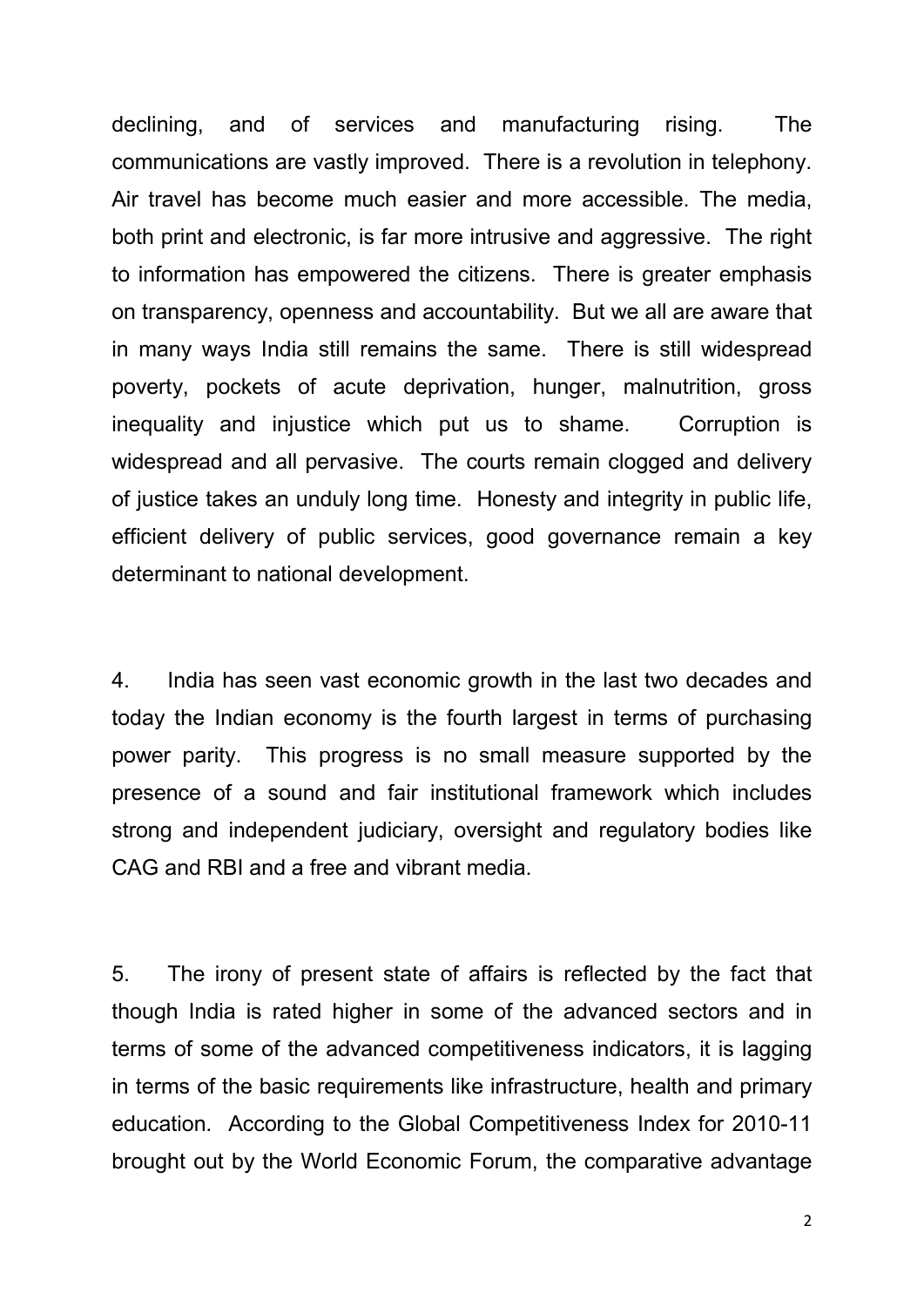declining, and of services and manufacturing rising. The communications are vastly improved. There is a revolution in telephony. Air travel has become much easier and more accessible. The media, both print and electronic, is far more intrusive and aggressive. The right to information has empowered the citizens. There is greater emphasis on transparency, openness and accountability. But we all are aware that in many ways India still remains the same. There is still widespread poverty, pockets of acute deprivation, hunger, malnutrition, gross inequality and injustice which put us to shame. Corruption is widespread and all pervasive. The courts remain clogged and delivery of justice takes an unduly long time. Honesty and integrity in public life, efficient delivery of public services, good governance remain a key determinant to national development.

4. India has seen vast economic growth in the last two decades and today the Indian economy is the fourth largest in terms of purchasing power parity. This progress is no small measure supported by the presence of a sound and fair institutional framework which includes strong and independent judiciary, oversight and regulatory bodies like CAG and RBI and a free and vibrant media.

5. The irony of present state of affairs is reflected by the fact that though India is rated higher in some of the advanced sectors and in terms of some of the advanced competitiveness indicators, it is lagging in terms of the basic requirements like infrastructure, health and primary education. According to the Global Competitiveness Index for 2010-11 brought out by the World Economic Forum, the comparative advantage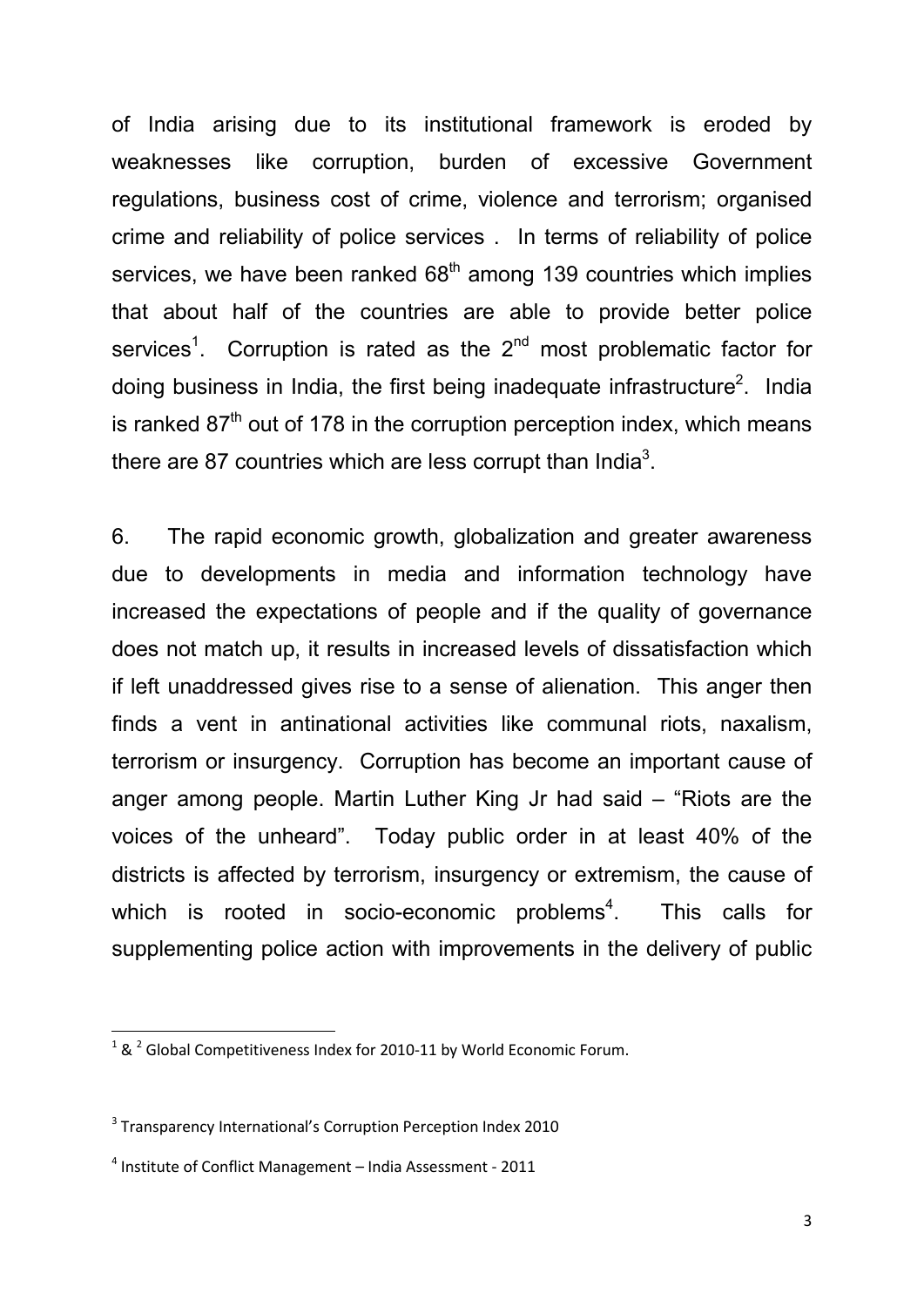of India arising due to its institutional framework is eroded by weaknesses like corruption, burden of excessive Government regulations, business cost of crime, violence and terrorism; organised crime and reliability of police services . In terms of reliability of police services, we have been ranked  $68<sup>th</sup>$  among 139 countries which implies that about half of the countries are able to provide better police services<sup>1</sup>. Corruption is rated as the  $2<sup>nd</sup>$  most problematic factor for doing business in India, the first being inadequate infrastructure<sup>2</sup>. India is ranked  $87<sup>th</sup>$  out of 178 in the corruption perception index, which means there are 87 countries which are less corrupt than India<sup>3</sup>.

6. The rapid economic growth, globalization and greater awareness due to developments in media and information technology have increased the expectations of people and if the quality of governance does not match up, it results in increased levels of dissatisfaction which if left unaddressed gives rise to a sense of alienation. This anger then finds a vent in antinational activities like communal riots, naxalism, terrorism or insurgency. Corruption has become an important cause of anger among people. Martin Luther King Jr had said – "Riots are the voices of the unheard". Today public order in at least 40% of the districts is affected by terrorism, insurgency or extremism, the cause of which is rooted in socio-economic problems<sup>4</sup>. . This calls for supplementing police action with improvements in the delivery of public

-

 $1$  &  $2$  Global Competitiveness Index for 2010-11 by World Economic Forum.

<sup>&</sup>lt;sup>3</sup> Transparency International's Corruption Perception Index 2010

<sup>4</sup> Institute of Conflict Management – India Assessment - 2011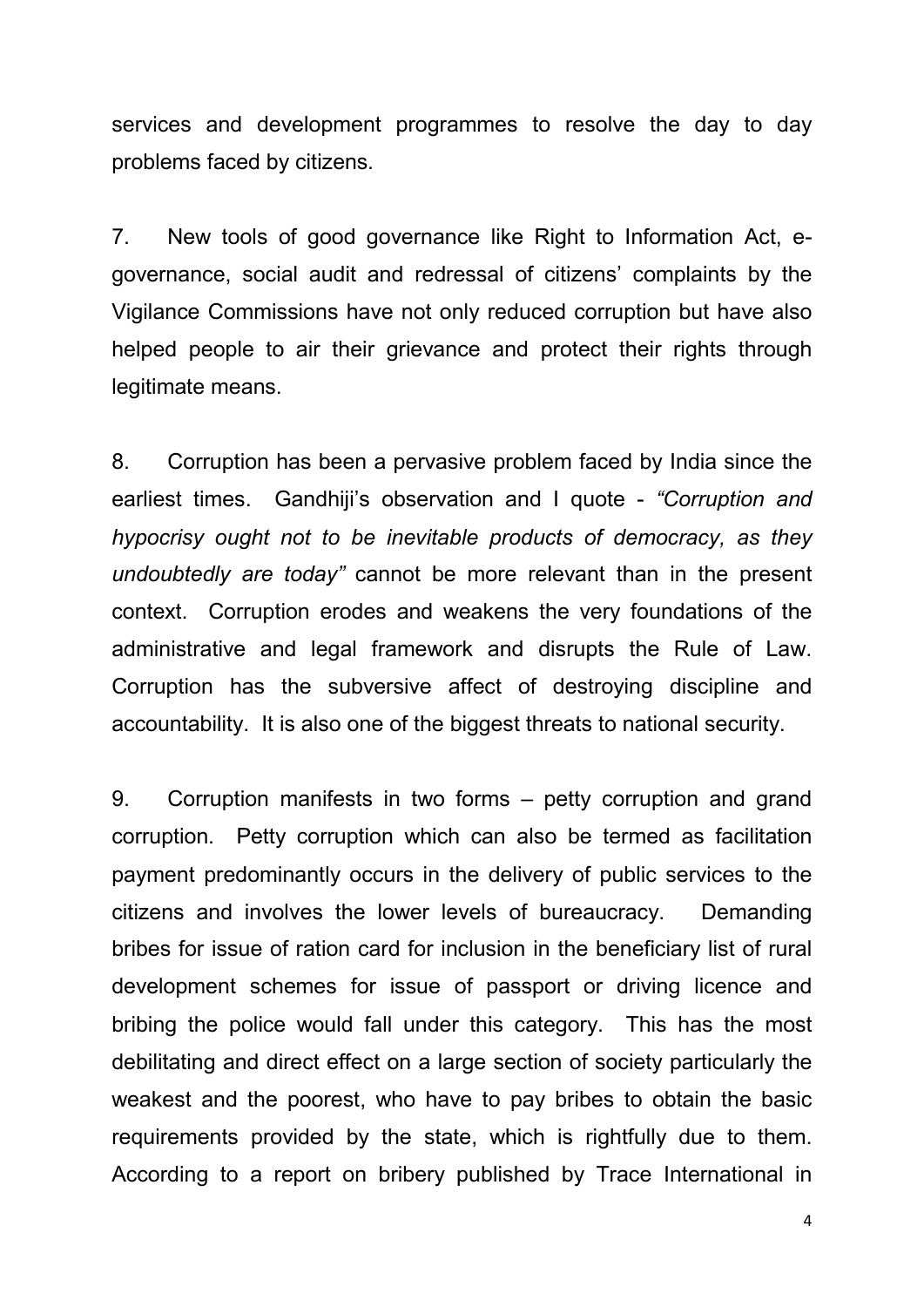services and development programmes to resolve the day to day problems faced by citizens.

7. New tools of good governance like Right to Information Act, egovernance, social audit and redressal of citizens' complaints by the Vigilance Commissions have not only reduced corruption but have also helped people to air their grievance and protect their rights through legitimate means.

8. Corruption has been a pervasive problem faced by India since the earliest times. Gandhiji's observation and I quote - *"Corruption and hypocrisy ought not to be inevitable products of democracy, as they undoubtedly are today"* cannot be more relevant than in the present context. Corruption erodes and weakens the very foundations of the administrative and legal framework and disrupts the Rule of Law. Corruption has the subversive affect of destroying discipline and accountability. It is also one of the biggest threats to national security.

9. Corruption manifests in two forms – petty corruption and grand corruption. Petty corruption which can also be termed as facilitation payment predominantly occurs in the delivery of public services to the citizens and involves the lower levels of bureaucracy. Demanding bribes for issue of ration card for inclusion in the beneficiary list of rural development schemes for issue of passport or driving licence and bribing the police would fall under this category. This has the most debilitating and direct effect on a large section of society particularly the weakest and the poorest, who have to pay bribes to obtain the basic requirements provided by the state, which is rightfully due to them. According to a report on bribery published by Trace International in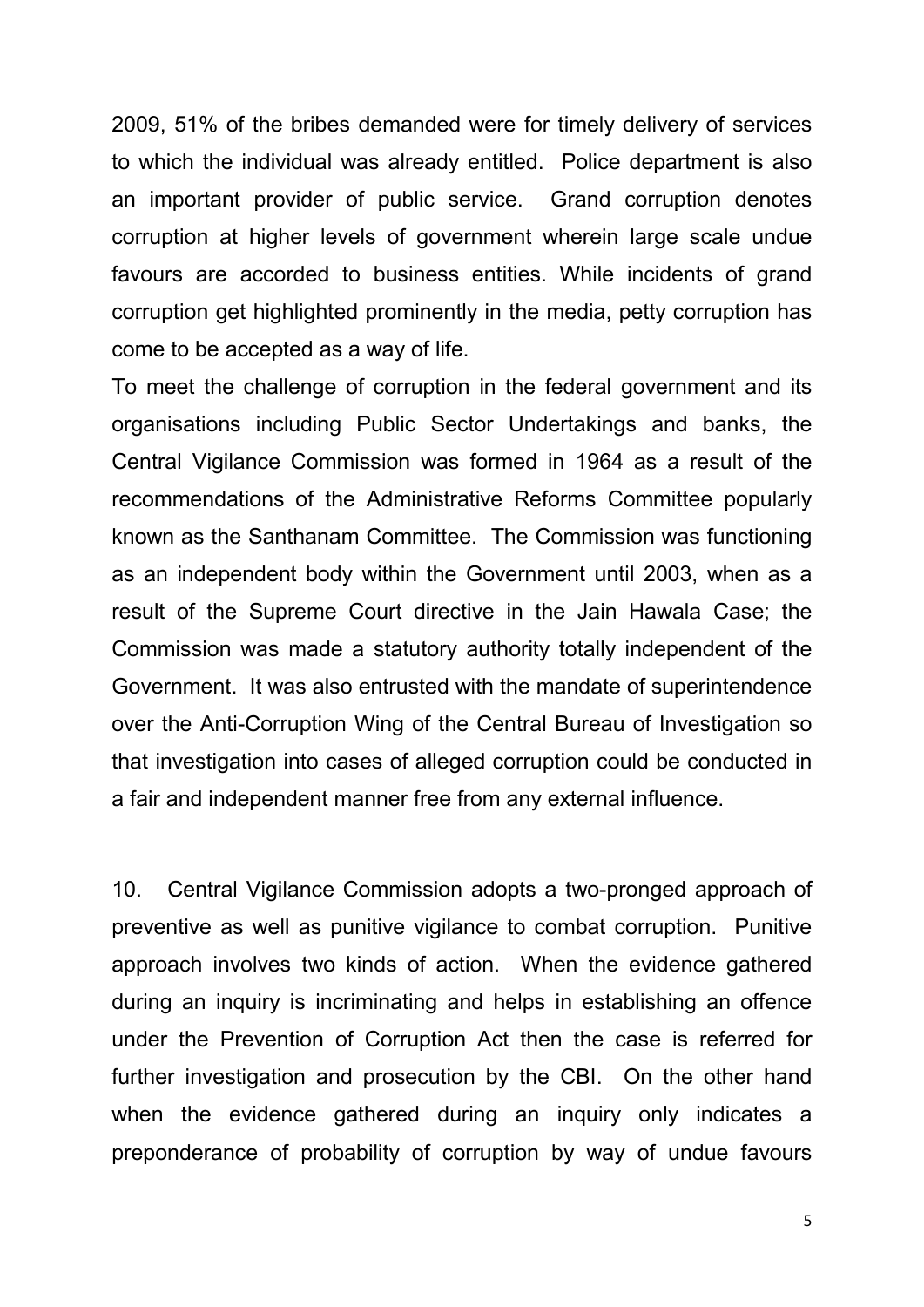2009, 51% of the bribes demanded were for timely delivery of services to which the individual was already entitled. Police department is also an important provider of public service. Grand corruption denotes corruption at higher levels of government wherein large scale undue favours are accorded to business entities. While incidents of grand corruption get highlighted prominently in the media, petty corruption has come to be accepted as a way of life.

To meet the challenge of corruption in the federal government and its organisations including Public Sector Undertakings and banks, the Central Vigilance Commission was formed in 1964 as a result of the recommendations of the Administrative Reforms Committee popularly known as the Santhanam Committee. The Commission was functioning as an independent body within the Government until 2003, when as a result of the Supreme Court directive in the Jain Hawala Case; the Commission was made a statutory authority totally independent of the Government. It was also entrusted with the mandate of superintendence over the Anti-Corruption Wing of the Central Bureau of Investigation so that investigation into cases of alleged corruption could be conducted in a fair and independent manner free from any external influence.

10. Central Vigilance Commission adopts a two-pronged approach of preventive as well as punitive vigilance to combat corruption. Punitive approach involves two kinds of action. When the evidence gathered during an inquiry is incriminating and helps in establishing an offence under the Prevention of Corruption Act then the case is referred for further investigation and prosecution by the CBI. On the other hand when the evidence gathered during an inquiry only indicates a preponderance of probability of corruption by way of undue favours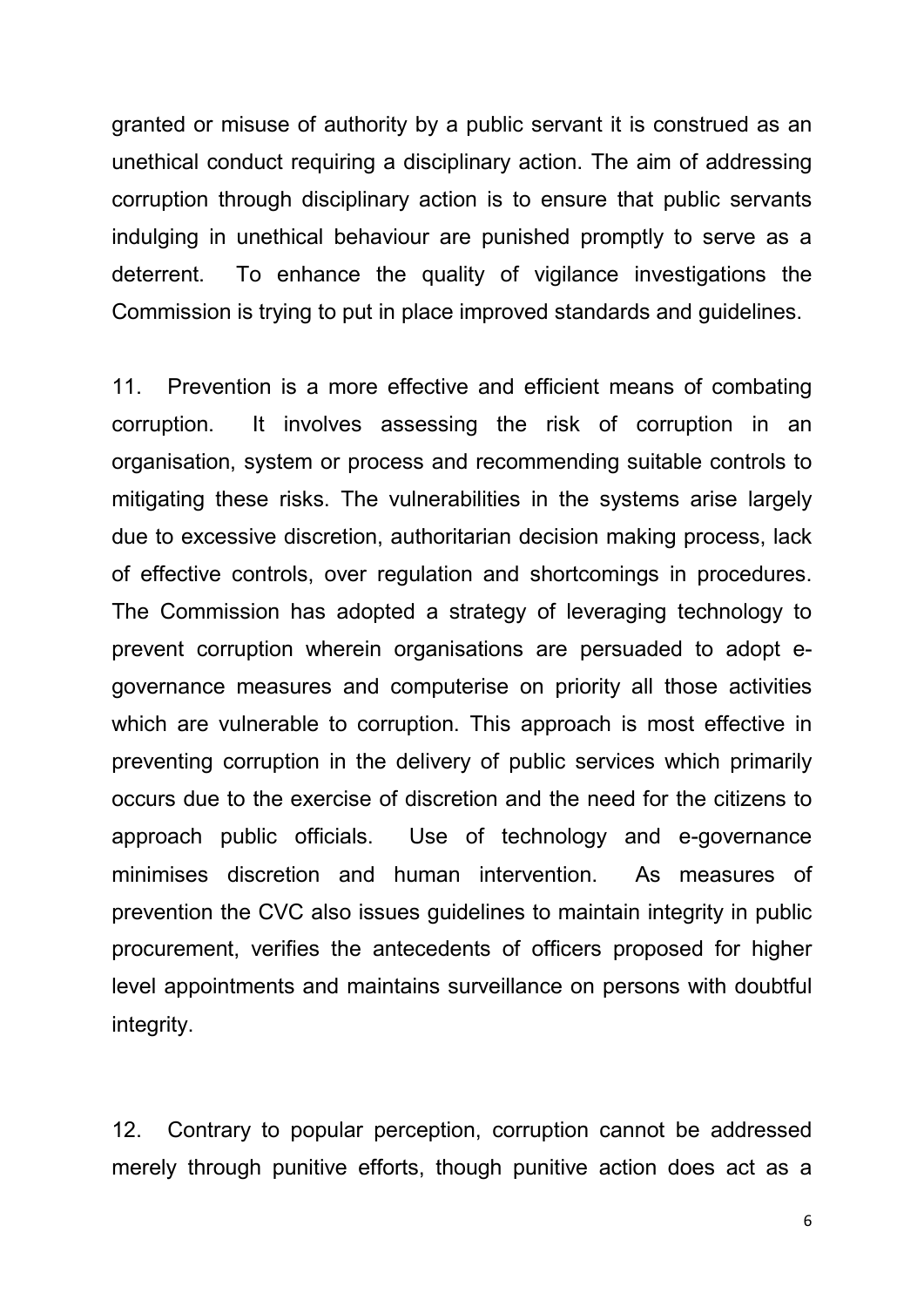granted or misuse of authority by a public servant it is construed as an unethical conduct requiring a disciplinary action. The aim of addressing corruption through disciplinary action is to ensure that public servants indulging in unethical behaviour are punished promptly to serve as a deterrent. To enhance the quality of vigilance investigations the Commission is trying to put in place improved standards and guidelines.

11. Prevention is a more effective and efficient means of combating corruption. It involves assessing the risk of corruption in an organisation, system or process and recommending suitable controls to mitigating these risks. The vulnerabilities in the systems arise largely due to excessive discretion, authoritarian decision making process, lack of effective controls, over regulation and shortcomings in procedures. The Commission has adopted a strategy of leveraging technology to prevent corruption wherein organisations are persuaded to adopt egovernance measures and computerise on priority all those activities which are vulnerable to corruption. This approach is most effective in preventing corruption in the delivery of public services which primarily occurs due to the exercise of discretion and the need for the citizens to approach public officials. Use of technology and e-governance minimises discretion and human intervention. As measures of prevention the CVC also issues guidelines to maintain integrity in public procurement, verifies the antecedents of officers proposed for higher level appointments and maintains surveillance on persons with doubtful integrity.

12. Contrary to popular perception, corruption cannot be addressed merely through punitive efforts, though punitive action does act as a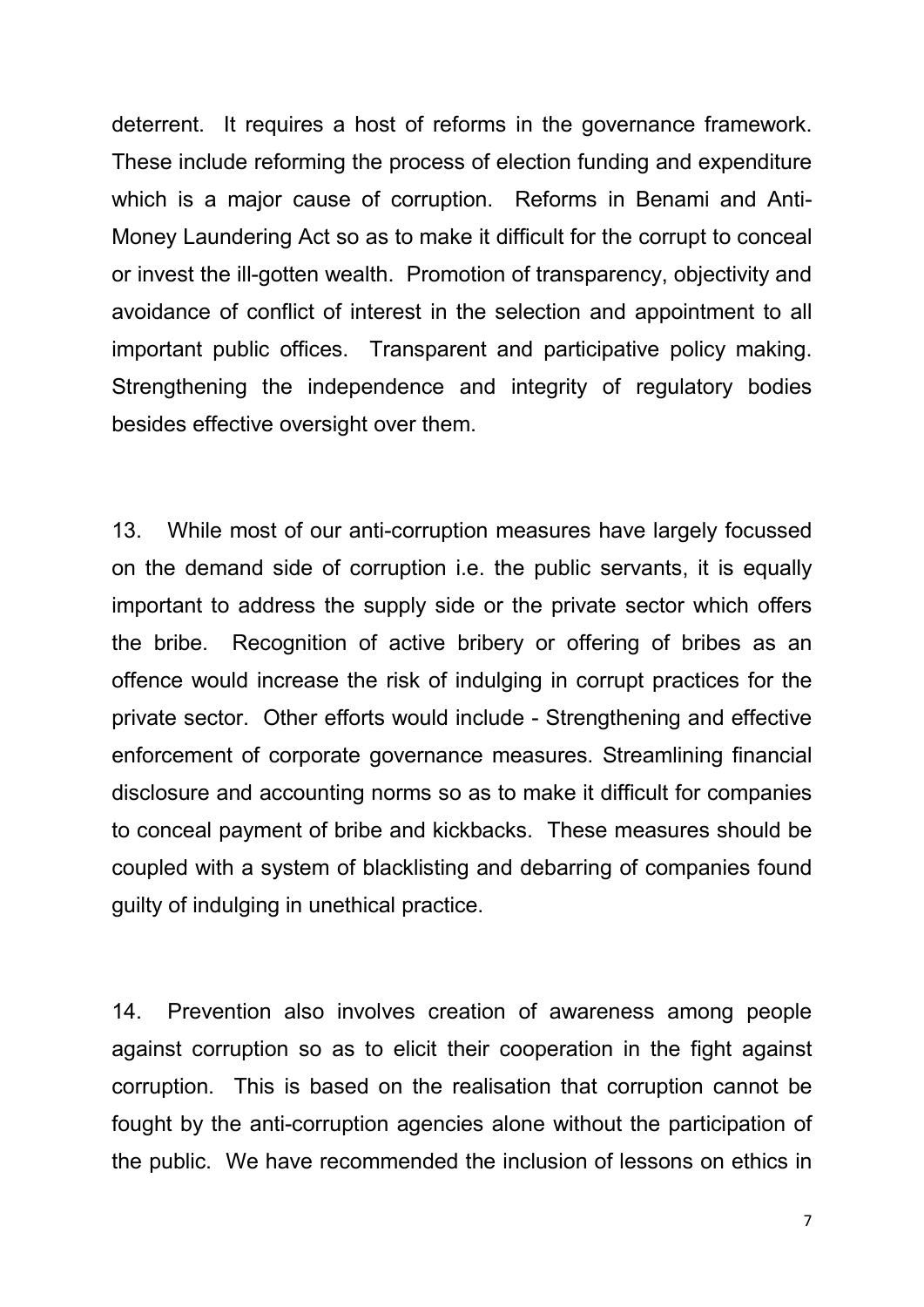deterrent. It requires a host of reforms in the governance framework. These include reforming the process of election funding and expenditure which is a major cause of corruption. Reforms in Benami and Anti-Money Laundering Act so as to make it difficult for the corrupt to conceal or invest the ill-gotten wealth. Promotion of transparency, objectivity and avoidance of conflict of interest in the selection and appointment to all important public offices. Transparent and participative policy making. Strengthening the independence and integrity of regulatory bodies besides effective oversight over them.

13. While most of our anti-corruption measures have largely focussed on the demand side of corruption i.e. the public servants, it is equally important to address the supply side or the private sector which offers the bribe. Recognition of active bribery or offering of bribes as an offence would increase the risk of indulging in corrupt practices for the private sector. Other efforts would include - Strengthening and effective enforcement of corporate governance measures. Streamlining financial disclosure and accounting norms so as to make it difficult for companies to conceal payment of bribe and kickbacks. These measures should be coupled with a system of blacklisting and debarring of companies found guilty of indulging in unethical practice.

14. Prevention also involves creation of awareness among people against corruption so as to elicit their cooperation in the fight against corruption. This is based on the realisation that corruption cannot be fought by the anti-corruption agencies alone without the participation of the public. We have recommended the inclusion of lessons on ethics in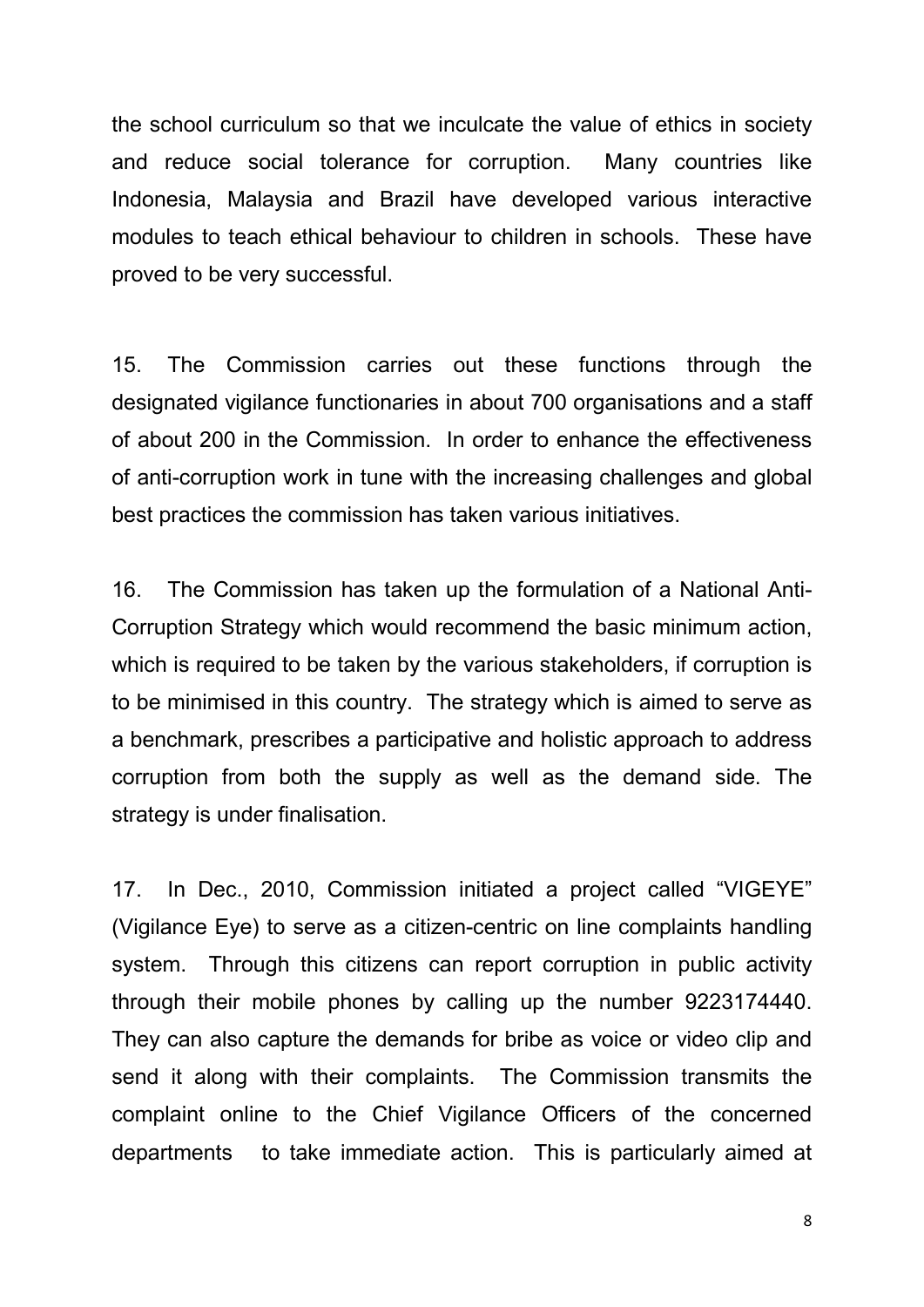the school curriculum so that we inculcate the value of ethics in society and reduce social tolerance for corruption. Many countries like Indonesia, Malaysia and Brazil have developed various interactive modules to teach ethical behaviour to children in schools. These have proved to be very successful.

15. The Commission carries out these functions through the designated vigilance functionaries in about 700 organisations and a staff of about 200 in the Commission. In order to enhance the effectiveness of anti-corruption work in tune with the increasing challenges and global best practices the commission has taken various initiatives.

16. The Commission has taken up the formulation of a National Anti-Corruption Strategy which would recommend the basic minimum action, which is required to be taken by the various stakeholders, if corruption is to be minimised in this country. The strategy which is aimed to serve as a benchmark, prescribes a participative and holistic approach to address corruption from both the supply as well as the demand side. The strategy is under finalisation.

17. In Dec., 2010, Commission initiated a project called "VIGEYE" (Vigilance Eye) to serve as a citizen-centric on line complaints handling system. Through this citizens can report corruption in public activity through their mobile phones by calling up the number 9223174440. They can also capture the demands for bribe as voice or video clip and send it along with their complaints. The Commission transmits the complaint online to the Chief Vigilance Officers of the concerned departments to take immediate action. This is particularly aimed at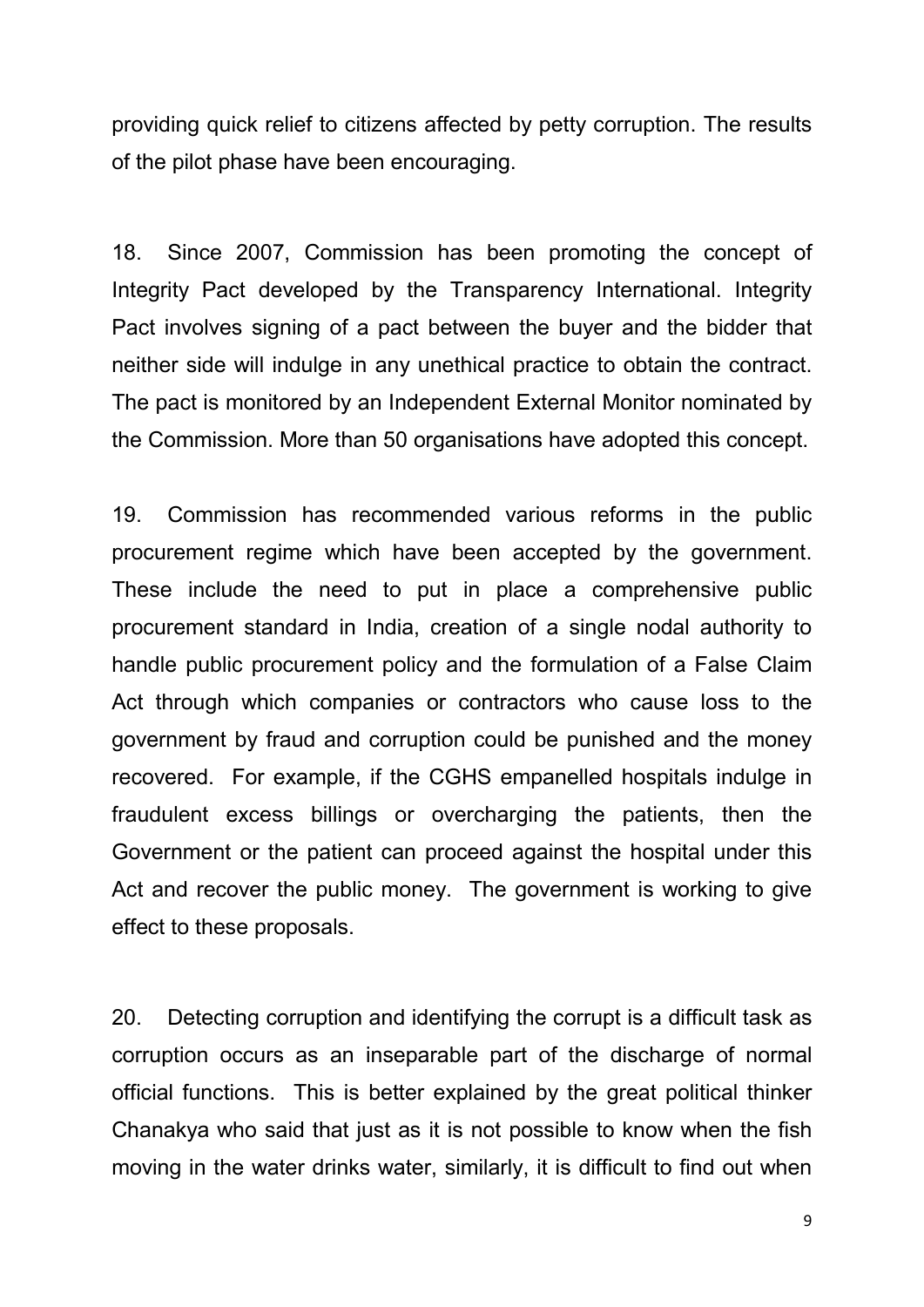providing quick relief to citizens affected by petty corruption. The results of the pilot phase have been encouraging.

18. Since 2007, Commission has been promoting the concept of Integrity Pact developed by the Transparency International. Integrity Pact involves signing of a pact between the buyer and the bidder that neither side will indulge in any unethical practice to obtain the contract. The pact is monitored by an Independent External Monitor nominated by the Commission. More than 50 organisations have adopted this concept.

19. Commission has recommended various reforms in the public procurement regime which have been accepted by the government. These include the need to put in place a comprehensive public procurement standard in India, creation of a single nodal authority to handle public procurement policy and the formulation of a False Claim Act through which companies or contractors who cause loss to the government by fraud and corruption could be punished and the money recovered. For example, if the CGHS empanelled hospitals indulge in fraudulent excess billings or overcharging the patients, then the Government or the patient can proceed against the hospital under this Act and recover the public money. The government is working to give effect to these proposals.

20. Detecting corruption and identifying the corrupt is a difficult task as corruption occurs as an inseparable part of the discharge of normal official functions. This is better explained by the great political thinker Chanakya who said that just as it is not possible to know when the fish moving in the water drinks water, similarly, it is difficult to find out when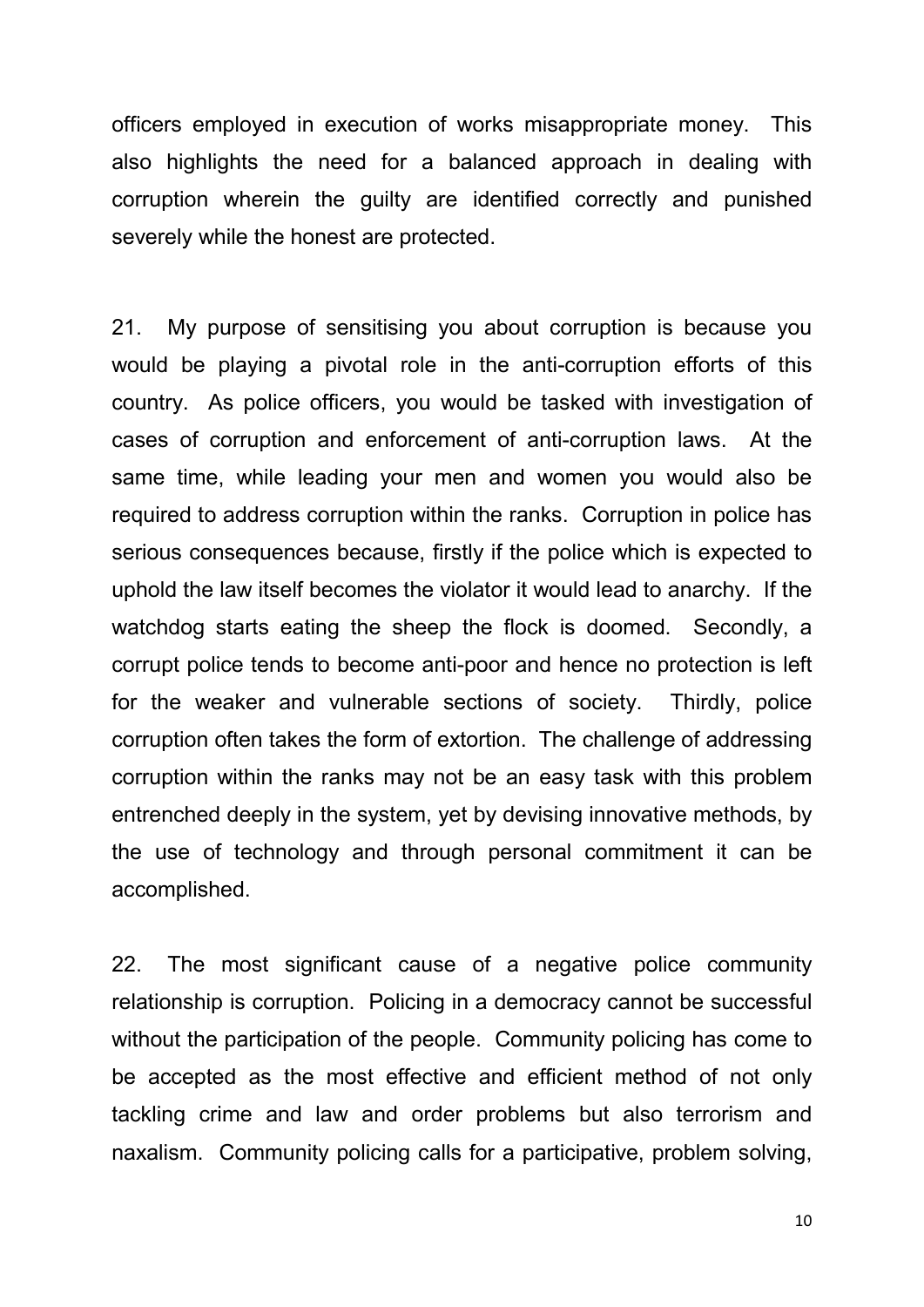officers employed in execution of works misappropriate money. This also highlights the need for a balanced approach in dealing with corruption wherein the guilty are identified correctly and punished severely while the honest are protected.

21. My purpose of sensitising you about corruption is because you would be playing a pivotal role in the anti-corruption efforts of this country. As police officers, you would be tasked with investigation of cases of corruption and enforcement of anti-corruption laws. At the same time, while leading your men and women you would also be required to address corruption within the ranks. Corruption in police has serious consequences because, firstly if the police which is expected to uphold the law itself becomes the violator it would lead to anarchy. If the watchdog starts eating the sheep the flock is doomed. Secondly, a corrupt police tends to become anti-poor and hence no protection is left for the weaker and vulnerable sections of society. Thirdly, police corruption often takes the form of extortion. The challenge of addressing corruption within the ranks may not be an easy task with this problem entrenched deeply in the system, yet by devising innovative methods, by the use of technology and through personal commitment it can be accomplished.

22. The most significant cause of a negative police community relationship is corruption. Policing in a democracy cannot be successful without the participation of the people. Community policing has come to be accepted as the most effective and efficient method of not only tackling crime and law and order problems but also terrorism and naxalism. Community policing calls for a participative, problem solving,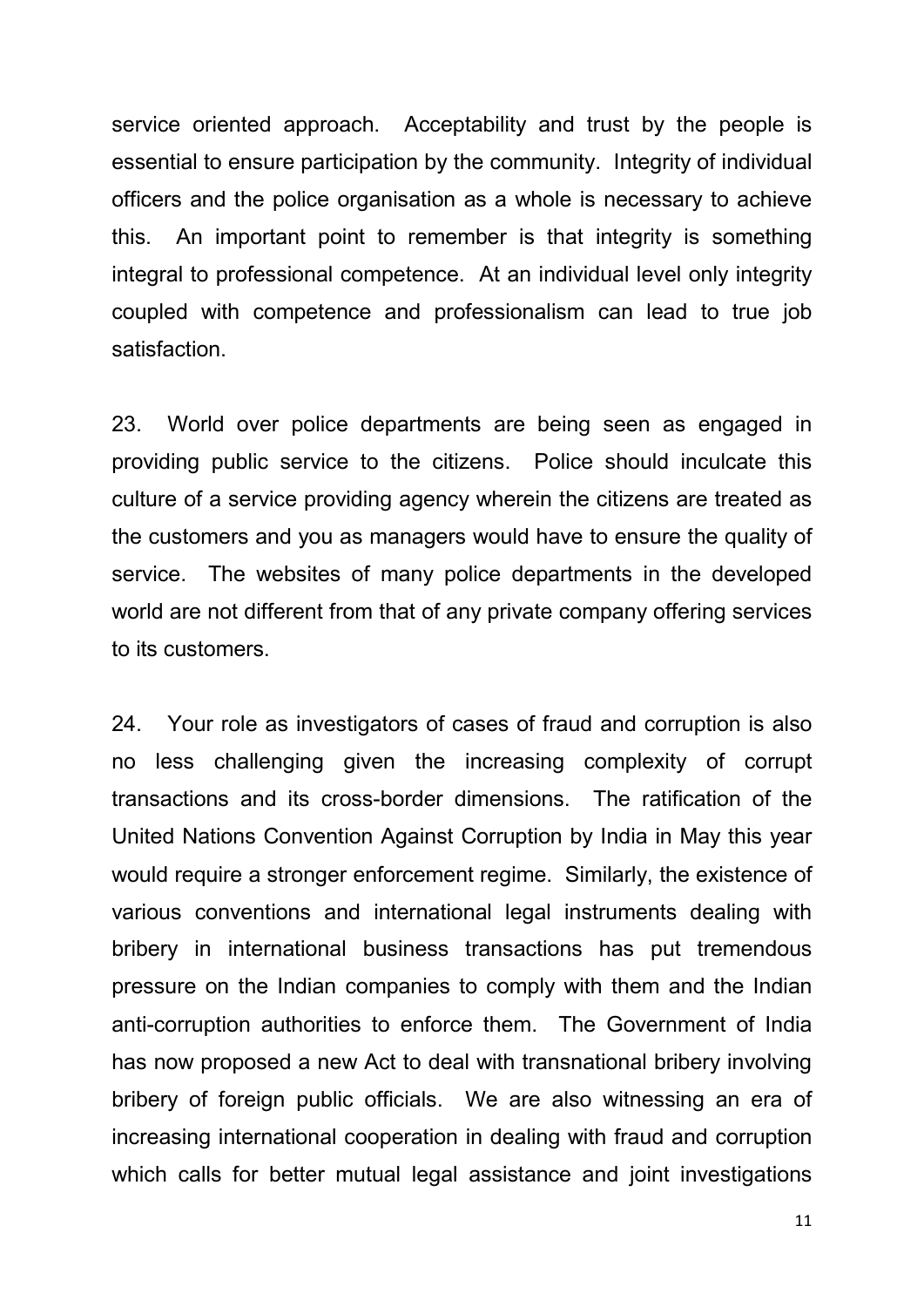service oriented approach. Acceptability and trust by the people is essential to ensure participation by the community. Integrity of individual officers and the police organisation as a whole is necessary to achieve this. An important point to remember is that integrity is something integral to professional competence. At an individual level only integrity coupled with competence and professionalism can lead to true job satisfaction.

23. World over police departments are being seen as engaged in providing public service to the citizens. Police should inculcate this culture of a service providing agency wherein the citizens are treated as the customers and you as managers would have to ensure the quality of service. The websites of many police departments in the developed world are not different from that of any private company offering services to its customers.

24. Your role as investigators of cases of fraud and corruption is also no less challenging given the increasing complexity of corrupt transactions and its cross-border dimensions. The ratification of the United Nations Convention Against Corruption by India in May this year would require a stronger enforcement regime. Similarly, the existence of various conventions and international legal instruments dealing with bribery in international business transactions has put tremendous pressure on the Indian companies to comply with them and the Indian anti-corruption authorities to enforce them. The Government of India has now proposed a new Act to deal with transnational bribery involving bribery of foreign public officials. We are also witnessing an era of increasing international cooperation in dealing with fraud and corruption which calls for better mutual legal assistance and joint investigations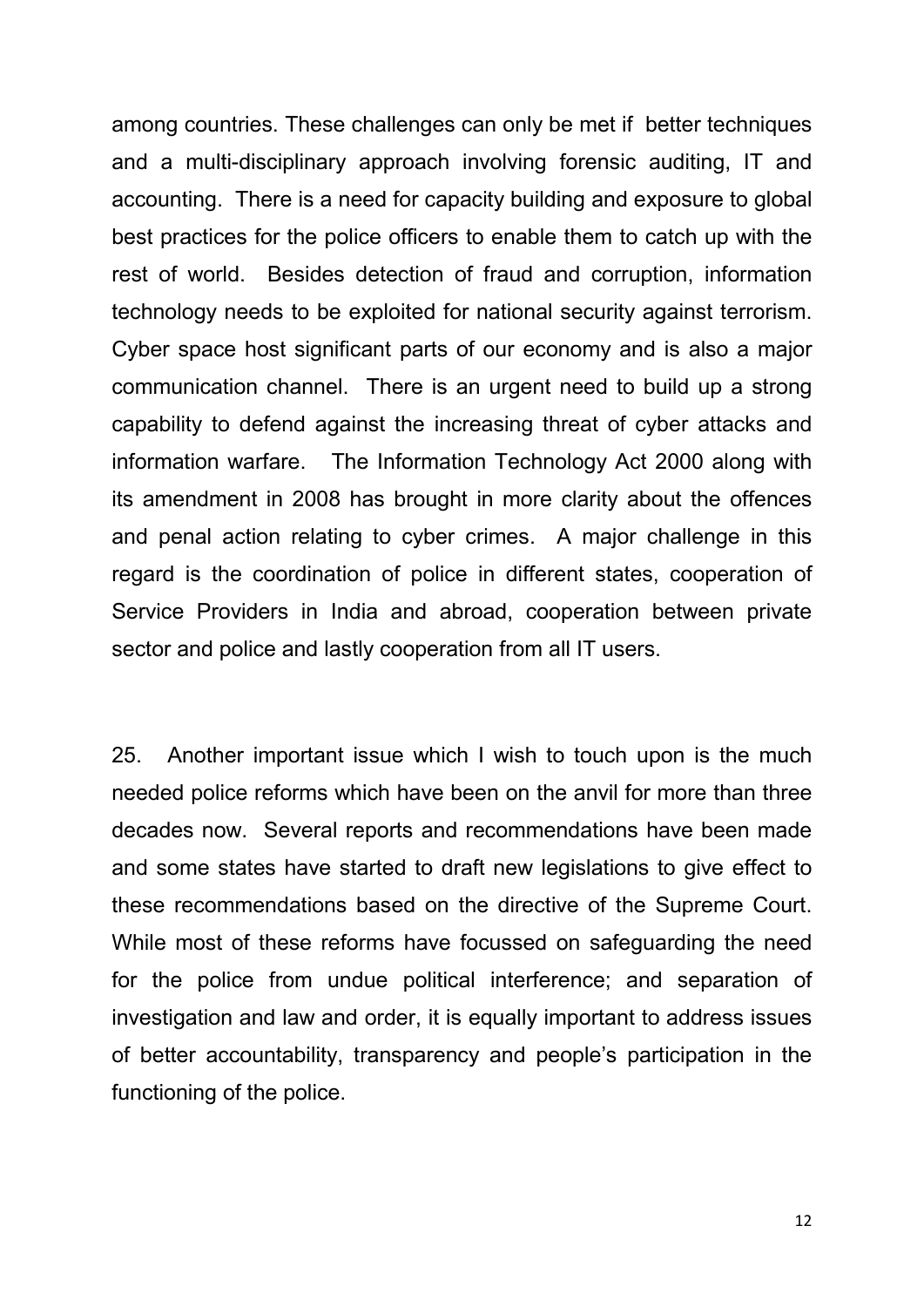among countries. These challenges can only be met if better techniques and a multi-disciplinary approach involving forensic auditing, IT and accounting. There is a need for capacity building and exposure to global best practices for the police officers to enable them to catch up with the rest of world. Besides detection of fraud and corruption, information technology needs to be exploited for national security against terrorism. Cyber space host significant parts of our economy and is also a major communication channel. There is an urgent need to build up a strong capability to defend against the increasing threat of cyber attacks and information warfare. The Information Technology Act 2000 along with its amendment in 2008 has brought in more clarity about the offences and penal action relating to cyber crimes. A major challenge in this regard is the coordination of police in different states, cooperation of Service Providers in India and abroad, cooperation between private sector and police and lastly cooperation from all IT users.

25. Another important issue which I wish to touch upon is the much needed police reforms which have been on the anvil for more than three decades now. Several reports and recommendations have been made and some states have started to draft new legislations to give effect to these recommendations based on the directive of the Supreme Court. While most of these reforms have focussed on safeguarding the need for the police from undue political interference; and separation of investigation and law and order, it is equally important to address issues of better accountability, transparency and people's participation in the functioning of the police.